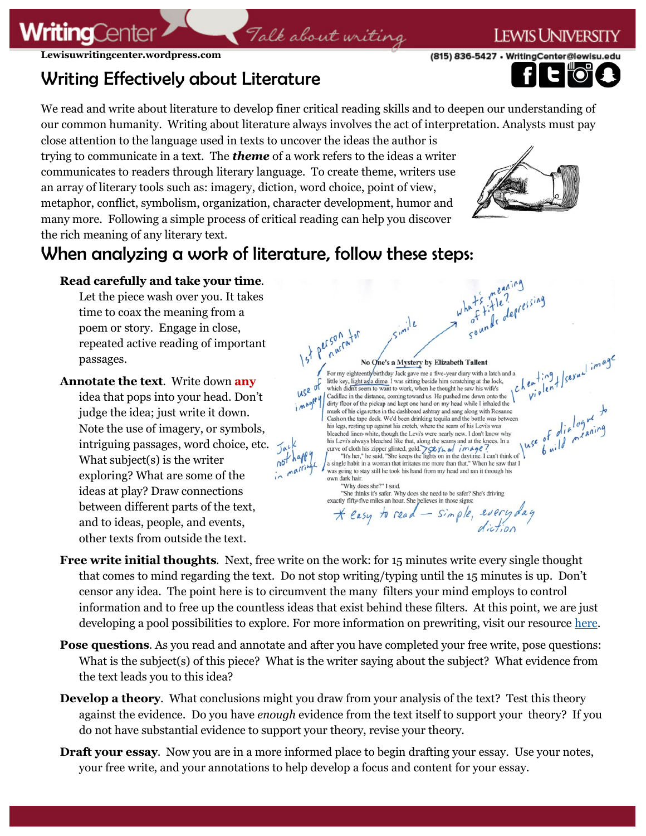### **EWIS UNIVERS**

(815) 836-5427 • WritingCenter@lewisu.

### **Lewisuwritingcenter.wordpress.com**

**WritingCente** 

## Writing Effectively about Literature

We read and write about literature to develop finer critical reading skills and to deepen our understanding of our common humanity. Writing about literature always involves the act of interpretation. Analysts must pay

Talk about writing

close attention to the language used in texts to uncover the ideas the author is trying to communicate in a text. The *theme* of a work refers to the ideas a writer communicates to readers through literary language. To create theme, writers use an array of literary tools such as: imagery, diction, word choice, point of view, metaphor, conflict, symbolism, organization, character development, humor and many more. Following a simple process of critical reading can help you discover the rich meaning of any literary text.



# When analyzing a work of literature, follow these steps:

### **Read carefully and take your time**.

Let the piece wash over you. It takes time to coax the meaning from a poem or story. Engage in close, repeated active reading of important passages.

**Annotate the text**. Write down **any** idea that pops into your head. Don't judge the idea; just write it down. Note the use of imagery, or symbols, intriguing passages, word choice, etc. What subject(s) is the writer exploring? What are some of the ideas at play? Draw connections between different parts of the text, and to ideas, people, and events, other texts from outside the text.



- **Free write initial thoughts**. Next, free write on the work: for 15 minutes write every single thought that comes to mind regarding the text. Do not stop writing/typing until the 15 minutes is up. Don't censor any idea. The point here is to circumvent the many filters your mind employs to control information and to free up the countless ideas that exist behind these filters. At this point, we are just developing a pool possibilities to explore. For more information on prewriting, visit our resource [here.](https://lewisuwritingcenter.files.wordpress.com/2014/02/wcresource-prewriting.pdf)
- **Pose questions.** As you read and annotate and after you have completed your free write, pose questions: What is the subject(s) of this piece? What is the writer saying about the subject? What evidence from the text leads you to this idea?
- **Develop a theory.** What conclusions might you draw from your analysis of the text? Test this theory against the evidence. Do you have *enough* evidence from the text itself to support your theory? If you do not have substantial evidence to support your theory, revise your theory.
- **Draft your essay.** Now you are in a more informed place to begin drafting your essay. Use your notes, your free write, and your annotations to help develop a focus and content for your essay.